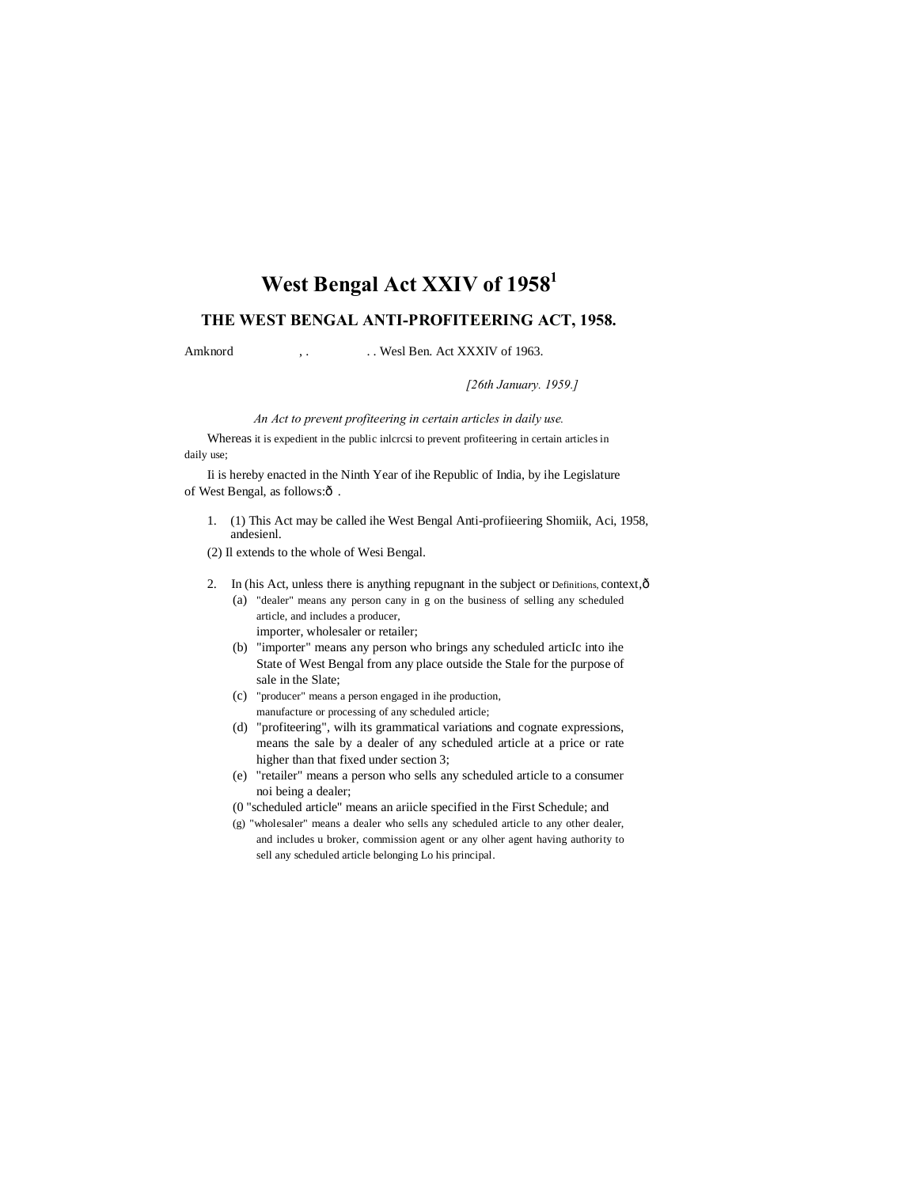# **West Bengal Act XXIV of 19581**

# **THE WEST BENGAL ANTI-PROFITEERING ACT, 1958.**

Amknord , . . . Wesl Ben. Act XXXIV of 1963.

*[26th January. 1959.]*

*An Act to prevent profiteering in certain articles in daily use.*

Whereas it is expedient in the public inlcrcsi to prevent profiteering in certain articles in daily use;

Ii is hereby enacted in the Ninth Year of ihe Republic of India, by ihe Legislature of West Bengal, as follows: $\hat{o}$ .

1. (1) This Act may be called ihe West Bengal Anti-profiieering Shomiik, Aci, 1958, andesienl.

(2) Il extends to the whole of Wesi Bengal.

- 2. In (his Act, unless there is anything repugnant in the subject or Definitions, context,  $\hat{o}$ 
	- (a) "dealer" means any person cany in g on the business of selling any scheduled article, and includes a producer, importer, wholesaler or retailer;
	- (b) "importer" means any person who brings any scheduled articIc into ihe State of West Bengal from any place outside the Stale for the purpose of sale in the Slate;
	- (c) "producer" means a person engaged in ihe production, manufacture or processing of any scheduled article;
	- (d) "profiteering", wilh its grammatical variations and cognate expressions, means the sale by a dealer of any scheduled article at a price or rate higher than that fixed under section 3;
	- (e) "retailer" means a person who sells any scheduled article to a consumer noi being a dealer;
	- (0 "scheduled article" means an ariicle specified in the First Schedule; and
	- (g) "wholesaler" means a dealer who sells any scheduled article to any other dealer, and includes u broker, commission agent or any olher agent having authority to sell any scheduled article belonging Lo his principal.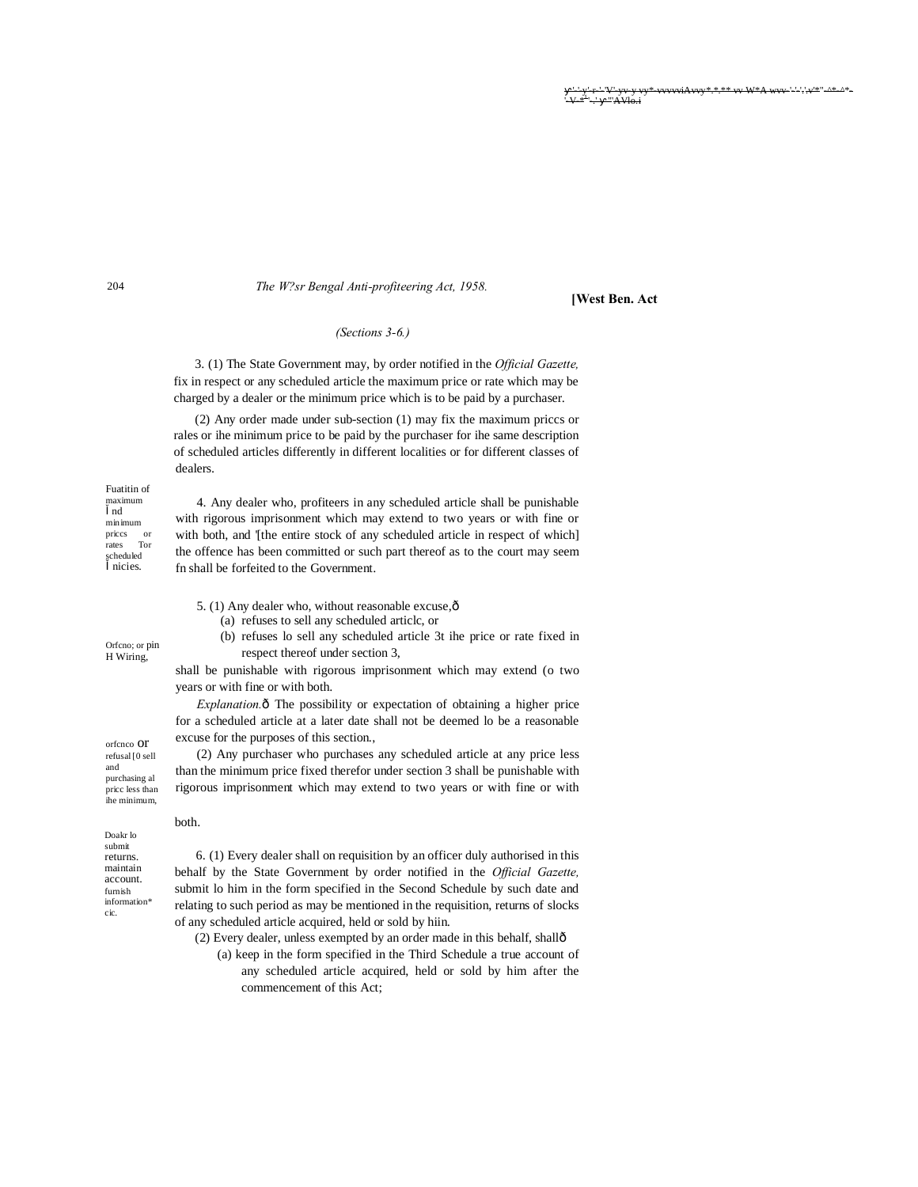\* \*\*  $\mathbf{w} \mathbf{W}^* \mathbf{A} \mathbf{w} \mathbf{w}^{-1}$  =  $\mathbf{w}$  \*\*  $\mathbf{A}$  =  $\mathbf{A}$  $157 + 1$ ر .<br>سمالا کلا

### The W?sr Bengal Anti-profiteering Act, 1958.

#### **[West Ben. Act**

#### (Sections  $3-6.$ )

3. (1) The State Government may, by order notified in the Official Gazette, fix in respect or any scheduled article the maximum price or rate which may be charged by a dealer or the minimum price which is to be paid by a purchaser.

 $(2)$  Any order made under sub-section  $(1)$  may fix the maximum prices or rales or ihe minimum price to be paid by the purchaser for ihe same description of scheduled articles differently in different localities or for different classes of dealers.

Fuatitin of maximum nd  $minimum$ prices or<br>rates Tor<br>scheduled nicies.

Orfeno; or pin

H Wiring,

4. Any dealer who, profiteers in any scheduled article shall be punishable with rigorous imprisonment which may extend to two years or with fine or with both, and '[the entire stock of any scheduled article in respect of which] the offence has been committed or such part thereof as to the court may seem fn shall be forfeited to the Government.

5. (1) Any dealer who, without reasonable excuse,  $\hat{o}$ 

(a) refuses to sell any scheduled article, or

(b) refuses lo sell any scheduled article 3t ihe price or rate fixed in respect thereof under section 3,

shall be punishable with rigorous imprisonment which may extend (o two years or with fine or with both.

*Explanation.* The possibility or expectation of obtaining a higher price for a scheduled article at a later date shall not be deemed to be a reasonable excuse for the purposes of this section.,

(2) Any purchaser who purchases any scheduled article at any price less than the minimum price fixed therefor under section 3 shall be punishable with rigorous imprisonment which may extend to two years or with fine or with

 $\quad \text{and} \quad$ purchasing al price less than ihe minimum.

hoth.

orfenco Of refusal [0 sell

 $\mathop{\rm Doakr}\nolimits$ lo submit returns. maintain account. furnish information\* cic.

6. (1) Every dealer shall on requisition by an officer duly authorised in this behalf by the State Government by order notified in the Official Gazette, submit lo him in the form specified in the Second Schedule by such date and relating to such period as may be mentioned in the requisition, returns of slocks of any scheduled article acquired, held or sold by hiin.

(2) Every dealer, unless exempted by an order made in this behalf, shallô

(a) keep in the form specified in the Third Schedule a true account of any scheduled article acquired, held or sold by him after the commencement of this Act;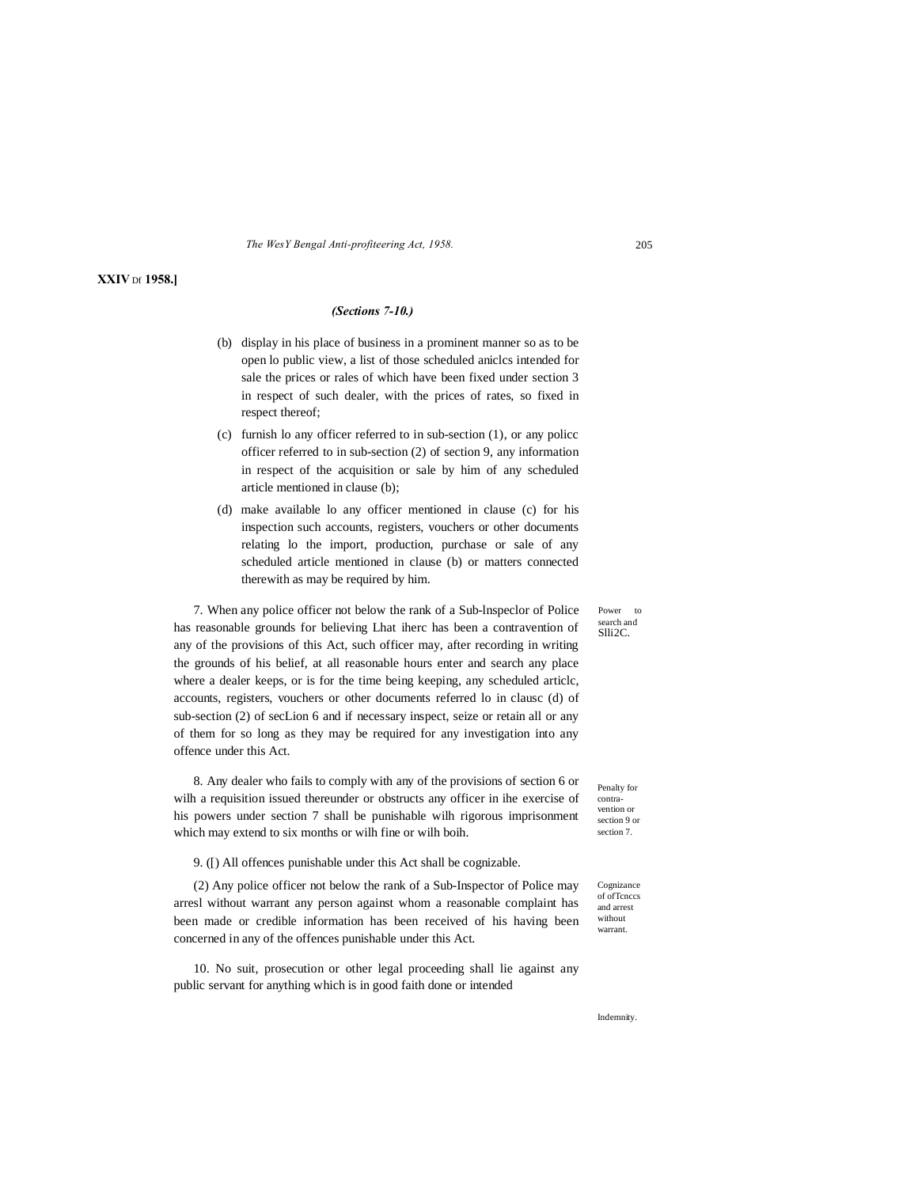*The WesY Bengal Anti-profiteering Act, 1958.* 205

## **XXIV** Df **1958.]**

## *(Sections 7-10.)*

- (b) display in his place of business in a prominent manner so as to be open lo public view, a list of those scheduled aniclcs intended for sale the prices or rales of which have been fixed under section 3 in respect of such dealer, with the prices of rates, so fixed in respect thereof;
- (c) furnish lo any officer referred to in sub-section (1), or any policc officer referred to in sub-section (2) of section 9, any information in respect of the acquisition or sale by him of any scheduled article mentioned in clause (b);
- (d) make available lo any officer mentioned in clause (c) for his inspection such accounts, registers, vouchers or other documents relating lo the import, production, purchase or sale of any scheduled article mentioned in clause (b) or matters connected therewith as may be required by him.

7. When any police officer not below the rank of a Sub-lnspeclor of Police has reasonable grounds for believing Lhat iherc has been a contravention of any of the provisions of this Act, such officer may, after recording in writing the grounds of his belief, at all reasonable hours enter and search any place where a dealer keeps, or is for the time being keeping, any scheduled articlc, accounts, registers, vouchers or other documents referred lo in clausc (d) of sub-section (2) of secLion 6 and if necessary inspect, seize or retain all or any of them for so long as they may be required for any investigation into any offence under this Act.

8. Any dealer who fails to comply with any of the provisions of section 6 or wilh a requisition issued thereunder or obstructs any officer in ihe exercise of his powers under section 7 shall be punishable wilh rigorous imprisonment which may extend to six months or wilh fine or wilh boih.

9. ([) All offences punishable under this Act shall be cognizable.

(2) Any police officer not below the rank of a Sub-Inspector of Police may arresl without warrant any person against whom a reasonable complaint has been made or credible information has been received of his having been concerned in any of the offences punishable under this Act.

10. No suit, prosecution or other legal proceeding shall lie against any public servant for anything which is in good faith done or intended

Penalty for contravention or section 9 or section 7.

Power to search and Slli2C.

Cognizance of ofTcnccs and arrest without warrant

**Indemnity**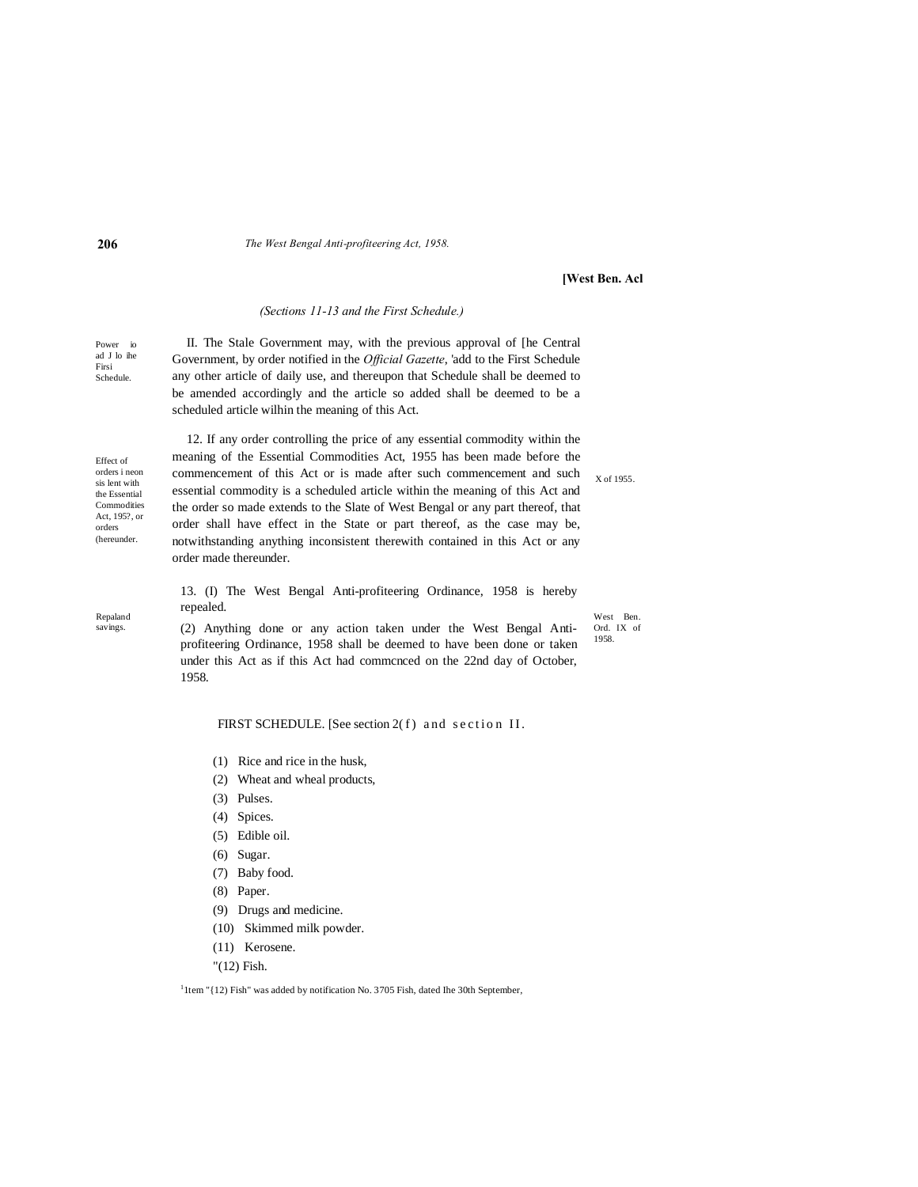#### **206** *The West Bengal Anti-profiteering Act, 1958.*

#### **[West Ben. Acl**

## *(Sections 11-13 and the First Schedule.)*

Power io ad J lo ihe Schedule. II. The Stale Government may, with the previous approval of [he Central Government, by order notified in the *Official Gazette*, 'add to the First Schedule any other article of daily use, and thereupon that Schedule shall be deemed to be amended accordingly and the article so added shall be deemed to be a scheduled article wilhin the meaning of this Act.

Effect of orders i neon sis lent with the Essential Commodities Act, 195?, or orders (hereunder.

Repaland savings.

12. If any order controlling the price of any essential commodity within the meaning of the Essential Commodities Act, 1955 has been made before the commencement of this Act or is made after such commencement and such essential commodity is a scheduled article within the meaning of this Act and the order so made extends to the Slate of West Bengal or any part thereof, that order shall have effect in the State or part thereof, as the case may be, notwithstanding anything inconsistent therewith contained in this Act or any order made thereunder.

X of 1955.

West Ben. Ord. IX of 1958.

13. (I) The West Bengal Anti-profiteering Ordinance, 1958 is hereby repealed.

(2) Anything done or any action taken under the West Bengal Antiprofiteering Ordinance, 1958 shall be deemed to have been done or taken under this Act as if this Act had commcnced on the 22nd day of October, 1958.

FIRST SCHEDULE. [See section 2( $f$ ) and section II.

- (1) Rice and rice in the husk,
- (2) Wheat and wheal products,
- (3) Pulses.
- (4) Spices.
- (5) Edible oil.
- (6) Sugar.
- (7) Baby food.
- (8) Paper.
- (9) Drugs and medicine.
- (10) Skimmed milk powder.
- (11) Kerosene.
- "(12) Fish.

<sup>1</sup> 1tem "{12) Fish" was added by notification No. 3705 Fish, dated Ihe 30th September,

Firsi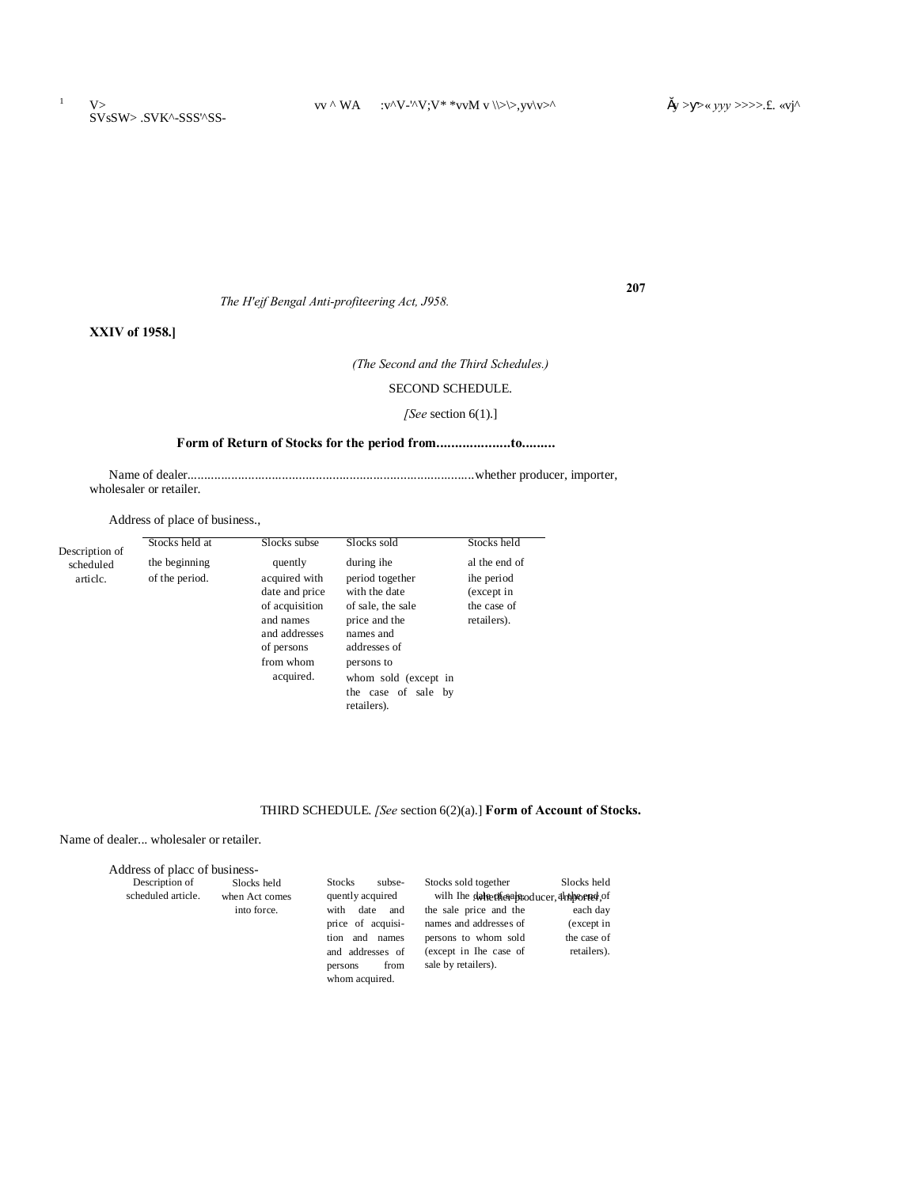**207**

*The H'ejf Bengal Anti-profiteering Act, J958.*

**XXIV of 1958.]**

*(The Second and the Third Schedules.)*

## SECOND SCHEDULE.

## *[See* section 6(1).]

# **Form of Return of Stocks for the period from....................to.........**

Name of dealer.....................................................................................whether producer, importer, wholesaler or retailer.

Address of place of business.,

| Description of        | Stocks held at                  | Slocks subse                                                                                                                       | Slocks sold                                                                                                                                                                                   | Stocks held                                                             |
|-----------------------|---------------------------------|------------------------------------------------------------------------------------------------------------------------------------|-----------------------------------------------------------------------------------------------------------------------------------------------------------------------------------------------|-------------------------------------------------------------------------|
| scheduled<br>article. | the beginning<br>of the period. | quently<br>acquired with<br>date and price<br>of acquisition<br>and names<br>and addresses<br>of persons<br>from whom<br>acquired. | during ihe<br>period together<br>with the date<br>of sale, the sale<br>price and the<br>names and<br>addresses of<br>persons to<br>whom sold (except in<br>the case of sale by<br>retailers). | al the end of<br>ihe period<br>(except in<br>the case of<br>retailers). |

# THIRD SCHEDULE. *[See* section 6(2)(a).] **Form of Account of Stocks.**

Name of dealer... wholesaler or retailer.

| Address of place of business- |                |                         |                                              |             |
|-------------------------------|----------------|-------------------------|----------------------------------------------|-------------|
| Description of                | Slocks held    | <b>Stocks</b><br>subse- | Stocks sold together                         | Slocks held |
| scheduled article.            | when Act comes | quently acquired        | wilh the delectional producer, antipoened of |             |
|                               | into force.    | date<br>with<br>and     | the sale price and the                       | each day    |
|                               |                | price of acquisi-       | names and addresses of                       | (except in  |
|                               |                | and<br>names<br>tion    | persons to whom sold                         | the case of |
|                               |                | and addresses of        | (except in Ihe case of                       | retailers). |
|                               |                | from<br>persons         | sale by retailers).                          |             |
|                               |                | whom acquired.          |                                              |             |